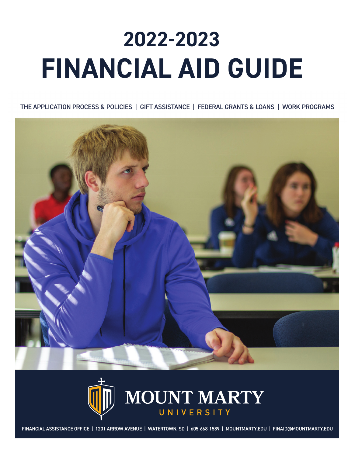# **2022-2023 FINANCIAL AID GUIDE**

THE APPLICATION PROCESS & POLICIES | GIFT ASSISTANCE | FEDERAL GRANTS & LOANS | WORK PROGRAMS





FINANCIAL ASSISTANCE OFFICE | 1201 ARROW AVENUE | WATERTOWN, SD | 605-668-1589 | MOUNTMARTY.EDU | FINAID@MOUNTMARTY.EDU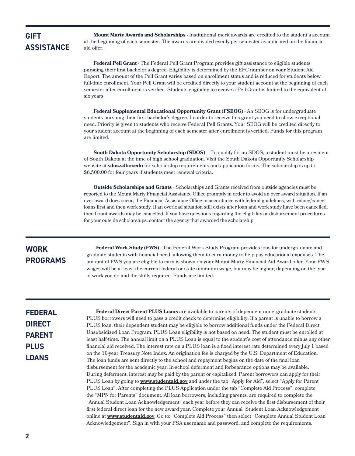### **GIFT ASSISTANCE**

**Mount Marty Awards and Scholarships** - Institutional merit awards are credited to the student's account at the beginning of each semester. The awards are divided evenly per semester as indicated on the financial aid offer.

**Federal Pell Grant** - The Federal Pell Grant Program provides gift assistance to eligible students pursuing their first bachelor's degree. Eligibility is determined by the EFC number on your Student Aid Report. The amount of the Pell Grant varies based on enrollment status and is reduced for students below full-time enrollment. Your Pell Grant will be credited directly to your student account at the beginning of each semester after enrollment is verified. Students eligibility to receive a Pell Grant is limited to the equivalent of six years.

**Federal Supplemental Educational Opportunity Grant (FSEOG)** - An SEOG is for undergraduate students pursuing their first bachelor's degree. In order to receive this grant you need to show exceptional need. Priority is given to students who receive Federal Pell Grants. Your SEOG will be credited directly to your student account at the beginning of each semester after enrollment is verified. Funds for this program are limited.

**South Dakota Opportunity Scholarship (SDOS)** – To qualify for an SDOS, a student must be a resident of South Dakota at the time of high school graduation. Visit the South Dakota Opportunity Scholarship website at **[sdos.sdbor.edu](https://sdos.sdbor.edu/Pages/default.aspx)** for scholarship requirements and application forms. The scholarship is up to \$6,500.00 for four years if students meet renewal criteria.

**Outside Scholarships and Grants** - Scholarships and Grants received from outside agencies must be reported to the Mount Marty Financial Assistance Office promptly in order to avoid an over award situation. If an over award does occur, the Financial Assistance Office in accordance with federal guidelines, will reduce/cancel loans first and then work study. If an overload situation still exists after loan and work study have been cancelled, then Grant awards may be cancelled. If you have questions regarding the eligibility or disbursement procedures for your outside scholarships, contact the agency that awarded the scholarship.

### **WORK PROGRAMS**

**Federal Work-Study (FWS)** - The Federal Work-Study Program provides jobs for undergraduate and graduate students with financial need, allowing them to earn money to help pay educational expenses. The amount of FWS you are eligible to earn is shown on your Mount Marty Financial Aid Award offer. Your FWS wages will be at least the current federal or state minimum wage, but may be higher, depending on the type of work you do and the skills required. Funds are limited.

### **FEDERAL DIRECT PARENT PLUS LOANS**

**Federal Direct Parent PLUS Loans** are available to parents of dependent undergraduate students. PLUS borrowers will need to pass a credit check to determine eligibility. If a parent is unable to borrow a PLUS loan, their dependent student may be eligible to borrow additional funds under the Federal Direct Unsubsidized Loan Program. PLUS Loan eligibility is not based on need. The student must be enrolled at least half-time. The annual limit on a PLUS Loan is equal to the student's cost of attendance minus any other financial aid received. The interest rate on a PLUS loan is a fixed interest rate determined every July 1 based on the 10-year Treasury Note Index. An origination fee is charged by the U.S. Department of Education. The loan funds are sent directly to the school and repayment begins on the date of the final loan disbursement for the academic year. In-school deferment and forbearance options may be available. During deferment, interest may be paid by the parent or capitalized. Parent borrowers can apply for their PLUS Loan by going to **[www.studentaid.gov](https://studentaid.gov/)** and under the tab "Apply for Aid", select "Apply for Parent PLUS Loan". After completing the PLUS Application under the tab "Complete Aid Process", complete the "MPN for Parents" document. All loan borrowers, including parents, are required to complete the "Annual Student Loan Acknowledgement" each year before they can receive the first disbursement of their first federal direct loan for the new award year. Complete your Annual Student Loan Acknowledgement online at **[www.studentaid.gov](https://studentaid.gov/)**. Go to: "Complete Aid Process" then select "Complete Annual Student Loan Acknowledgement". Sign in with your FSA username and password, and complete the requirements.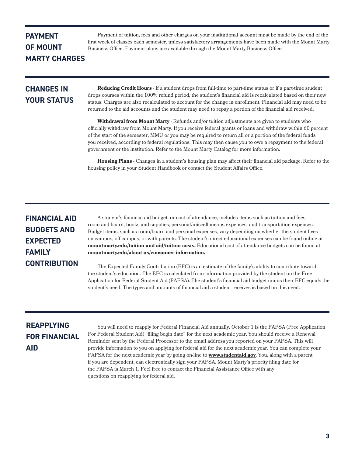### **PAYMENT OF MOUNT MARTY CHARGES**

Payment of tuition, fees and other charges on your institutional account must be made by the end of the first week of classes each semester, unless satisfactory arrangements have been made with the Mount Marty Business Office. Payment plans are available through the Mount Marty Business Office.

### **CHANGES IN YOUR STATUS**

**Reducing Credit Hours** - If a student drops from full-time to part-time status or if a part-time student drops courses within the 100% refund period, the student's financial aid is recalculated based on their new status. Charges are also recalculated to account for the change in enrollment. Financial aid may need to be returned to the aid accounts and the student may need to repay a portion of the financial aid received.

**Withdrawal from Mount Marty** - Refunds and/or tuition adjustments are given to students who officially withdraw from Mount Marty. If you receive federal grants or loans and withdraw within 60 percent of the start of the semester, MMU or you may be required to return all or a portion of the federal funds you received, according to federal regulations. This may then cause you to owe a repayment to the federal government or the institution. Refer to the Mount Marty Catalog for more information.

**Housing Plans** - Changes in a student's housing plan may affect their financial aid package. Refer to the housing policy in your Student Handbook or contact the Student Affairs Office.

### **FINANCIAL AID BUDGETS AND EXPECTED FAMILY CONTRIBUTION**

A student's financial aid budget, or cost of attendance, includes items such as tuition and fees, room and board, books and supplies, personal/miscellaneous expenses, and transportation expenses. Budget items, such as room/board and personal expenses, vary depending on whether the student lives on-campus, off-campus, or with parents. The student's direct educational expenses can be found online at **[mountmarty.edu/tuition-and-aid/tuition-costs.](https://www.mountmarty.edu/tuition-and-aid/)** Educational cost of attendance budgets can be found at **[mountmarty.edu/about-us/consumer-information.](https://www.mountmarty.edu/about-us/consumer-information/)**

The Expected Family Contribution (EFC) is an estimate of the family's ability to contribute toward the student's education. The EFC is calculated from information provided by the student on the Free Application for Federal Student Aid (FAFSA). The student's financial aid budget minus their EFC equals the student's need. The types and amounts of financial aid a student receives is based on this need.

## **REAPPLYING FOR FINANCIAL AID**

You will need to reapply for Federal Financial Aid annually. October 1 is the FAFSA (Free Application For Federal Student Aid) "filing begin date" for the next academic year. You should receive a Renewal Reminder sent by the Federal Processor to the email address you reported on your FAFSA. This will provide information to you on applying for federal aid for the next academic year. You can complete your FAFSA for the next academic year by going on-line to **[www.studentaid.gov](https://studentaid.gov/)**. You, along with a parent if you are dependent, can electronically sign your FAFSA. Mount Marty's priority filing date for the FAFSA is March 1. Feel free to contact the Financial Assistance Office with any questions on reapplying for federal aid.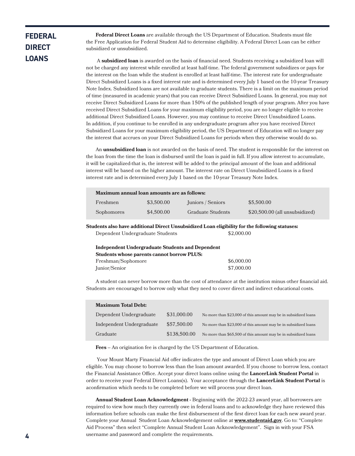### **FEDERAL DIRECT LOANS**

**Federal Direct Loans** are available through the US Department of Education. Students must file the Free Application for Federal Student Aid to determine eligibility. A Federal Direct Loan can be either subsidized or unsubsidized.

 A **subsidized loan** is awarded on the basis of financial need. Students receiving a subsidized loan will not be charged any interest while enrolled at least half-time. The federal government subsidizes or pays for the interest on the loan while the student is enrolled at least half-time. The interest rate for undergraduate Direct Subsidized Loans is a fixed interest rate and is determined every July 1 based on the 10-year Treasury Note Index. Subsidized loans are not available to graduate students. There is a limit on the maximum period of time (measured in academic years) that you can receive Direct Subsidized Loans. In general, you may not receive Direct Subsidized Loans for more than 150% of the published length of your program. After you have received Direct Subsidized Loans for your maximum eligibility period, you are no longer eligible to receive additional Direct Subsidized Loans. However, you may continue to receive Direct Unsubsidized Loans. In addition, if you continue to be enrolled in any undergraduate program after you have received Direct Subsidized Loans for your maximum eligibility period, the US Department of Education will no longer pay the interest that accrues on your Direct Subsidized Loans for periods when they otherwise would do so.

An **unsubsidized loan** is not awarded on the basis of need. The student is responsible for the interest on the loan from the time the loan is disbursed until the loan is paid in full. If you allow interest to accumulate, it will be capitalized-that is, the interest will be added to the principal amount of the loan and additional interest will be based on the higher amount. The interest rate on Direct Unsubsidized Loans is a fixed interest rate and is determined every July 1 based on the 10-year Treasury Note Index.

| Maximum annual loan amounts are as follows: |            |                          |                                 |  |  |
|---------------------------------------------|------------|--------------------------|---------------------------------|--|--|
| Freshmen                                    | \$3,500,00 | Juniors / Seniors        | \$5,500,00                      |  |  |
| Sophomores                                  | \$4,500,00 | <b>Graduate Students</b> | $$20,500.00$ (all unsubsidized) |  |  |

**Students also have additional Direct Unsubsidized Loan eligibility for the following statuses:**

| Dependent Undergraduate Students                                                                        | \$2,000.00 |
|---------------------------------------------------------------------------------------------------------|------------|
| <b>Independent Undergraduate Students and Dependent</b><br>Students whose parents connot borrow PI IIS. |            |

| Students whose parents cannot borrow PLUS: |            |  |
|--------------------------------------------|------------|--|
| Freshman/Sophomore                         | \$6,000.00 |  |
| Junior/Senior                              | \$7,000.00 |  |

A student can never borrow more than the cost of attendance at the institution minus other financial aid. Students are encouraged to borrow only what they need to cover direct and indirect educational costs.

| <b>Maximum Total Debt:</b> |              |                                                                 |  |  |
|----------------------------|--------------|-----------------------------------------------------------------|--|--|
| Dependent Undergraduate    | \$31,000.00  | No more than \$23,000 of this amount may be in subsidized loans |  |  |
| Independent Undergraduate  | \$57,500.00  | No more than \$23,000 of this amount may be in subsidized loans |  |  |
| Graduate                   | \$138,500.00 | No more than \$65,500 of this amount may be in subsidized loans |  |  |

**Fees –** An origination fee is charged by the US Department of Education.

 Your Mount Marty Financial Aid offer indicates the type and amount of Direct Loan which you are eligible. You may choose to borrow less than the loan amount awarded. If you choose to borrow less, contact the Financial Assistance Office. Accept your direct loans online using the **LancerLink Student Portal** in order to receive your Federal Direct Loans(s). Your acceptance through the **[LancerLink Student Portal](https://login.microsoftonline.com/340482ee-d150-4317-9261-eb717d6f9e76/wsfed?wa=wsignin1.0&wtrealm=https%3a%2f%2fsisportal-100539.campusnexus.cloud%2fCMCPortal%2f&wct=2021-11-30T18%3a21%3a11Z&wctx=rm%3d0%26id%3dpassive%26ru%3dsecure%2fstudent%2fstuportal.aspx&wreply=https%3a%2f%2fsisportal-100539.campusnexus.cloud%2fCMCPortal%2f&AppType=Portal&Role=STUDENT&sso_reload=true)** is aconfirmation which needs to be completed before we will process your direct loan.

**Annual Student Loan Acknowledgment -** Beginning with the 2022-23 award year, all borrowers are required to view how much they currently owe in federal loans and to acknowledge they have reviewed this information before schools can make the first disbursement of the first direct loan for each new award year. Complete your Annual Student Loan Acknowledgement online at **[www.studentaid.gov](https://studentaid.gov/)**. Go to: "Complete Aid Process" then select "Complete Annual Student Loan Acknowledgement". Sign in with your FSA username and password and complete the requirements.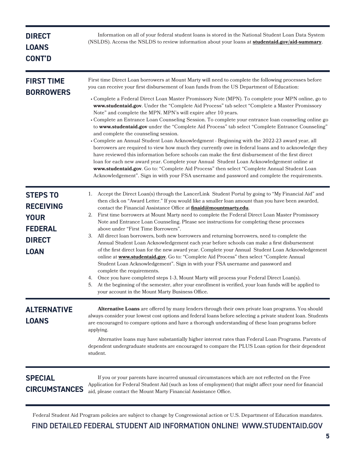| <b>DIRECT</b><br><b>LOANS</b><br><b>CONT'D</b>                                                       | Information on all of your federal student loans is stored in the National Student Loan Data System<br>(NSLDS). Access the NSLDS to review information about your loans at studentaid.gov/aid-summary.                                                                                                                                                                                                                                                                                                                                                                                                                                                                                                                                                                                                                                                                                                                                                                                                                                                                                                                                                                                                                                                                                                                                |
|------------------------------------------------------------------------------------------------------|---------------------------------------------------------------------------------------------------------------------------------------------------------------------------------------------------------------------------------------------------------------------------------------------------------------------------------------------------------------------------------------------------------------------------------------------------------------------------------------------------------------------------------------------------------------------------------------------------------------------------------------------------------------------------------------------------------------------------------------------------------------------------------------------------------------------------------------------------------------------------------------------------------------------------------------------------------------------------------------------------------------------------------------------------------------------------------------------------------------------------------------------------------------------------------------------------------------------------------------------------------------------------------------------------------------------------------------|
| <b>FIRST TIME</b><br><b>BORROWERS</b>                                                                | First time Direct Loan borrowers at Mount Marty will need to complete the following processes before<br>you can receive your first disbursement of loan funds from the US Department of Education:<br>• Complete a Federal Direct Loan Master Promissory Note (MPN). To complete your MPN online, go to<br>www.studentaid.gov. Under the "Complete Aid Process" tab select "Complete a Master Promissory<br>Note" and complete the MPN. MPN's will expire after 10 years.<br>• Complete an Entrance Loan Counseling Session. To complete your entrance loan counseling online go<br>to www.studentaid.gov under the "Complete Aid Process" tab select "Complete Entrance Counseling"<br>and complete the counseling session.<br>• Complete an Annual Student Loan Acknowledgment - Beginning with the 2022-23 award year, all<br>borrowers are required to view how much they currently owe in federal loans and to acknowledge they<br>have reviewed this information before schools can make the first disbursement of the first direct<br>loan for each new award year. Complete your Annual Student Loan Acknowledgement online at<br>www.studentaid.gov. Go to: "Complete Aid Process" then select "Complete Annual Student Loan<br>Acknowledgement". Sign in with your FSA username and password and complete the requirements. |
| <b>STEPS TO</b><br><b>RECEIVING</b><br><b>YOUR</b><br><b>FEDERAL</b><br><b>DIRECT</b><br><b>LOAN</b> | Accept the Direct Loan(s) through the LancerLink Student Portal by going to "My Financial Aid" and<br>1.<br>then click on "Award Letter." If you would like a smaller loan amount than you have been awarded,<br>contact the Financial Assistance Office at finaid@mountmarty.edu.<br>First time borrowers at Mount Marty need to complete the Federal Direct Loan Master Promissory<br>2.<br>Note and Entrance Loan Counseling. Please see instructions for completing these processes<br>above under "First Time Borrowers".<br>3. All direct loan borrowers, both new borrowers and returning borrowers, need to complete the<br>Annual Student Loan Acknowledgement each year before schools can make a first disbursement<br>of the first direct loan for the new award year. Complete your Annual Student Loan Acknowledgement<br>online at www.studentaid.gov. Go to: "Complete Aid Process" then select "Complete Annual<br>Student Loan Acknowledgement". Sign in with your FSA username and password and<br>complete the requirements.<br>Once you have completed steps 1-3, Mount Marty will process your Federal Direct Loan(s).<br>5. At the beginning of the semester, after your enrollment is verified, your loan funds will be applied to<br>your account in the Mount Marty Business Office.                        |
| <b>ALTERNATIVE</b><br><b>LOANS</b>                                                                   | Alternative Loans are offered by many lenders through their own private loan programs. You should<br>always consider your lowest cost options and federal loans before selecting a private student loan. Students<br>are encouraged to compare options and have a thorough understanding of these loan programs before<br>applying.<br>Alternative loans may have substantially higher interest rates than Federal Loan Programs. Parents of<br>dependent undergraduate students are encouraged to compare the PLUS Loan option for their dependent<br>student.                                                                                                                                                                                                                                                                                                                                                                                                                                                                                                                                                                                                                                                                                                                                                                       |
| <b>SPECIAL</b><br><b>CIRCUMSTANCES</b>                                                               | If you or your parents have incurred unusual circumstances which are not reflected on the Free<br>Application for Federal Student Aid (such as loss of employment) that might affect your need for financial<br>aid, please contact the Mount Marty Financial Assistance Office.                                                                                                                                                                                                                                                                                                                                                                                                                                                                                                                                                                                                                                                                                                                                                                                                                                                                                                                                                                                                                                                      |

Federal Student Aid Program policies are subject to change by Congressional action or U.S. Department of Education mandates.

FIND DETAILED FEDERAL STUDENT AID INFORMATION ONLINE! [WWW.STUDENTAID.GOV](https://studentaid.gov/)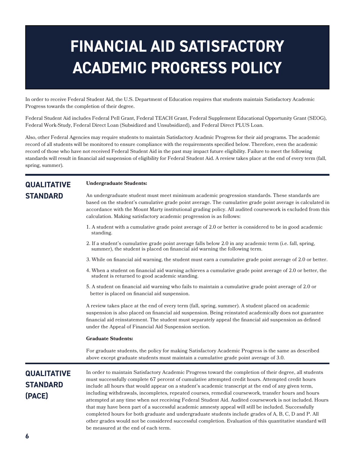# **FINANCIAL AID SATISFACTORY ACADEMIC PROGRESS POLICY**

In order to receive Federal Student Aid, the U.S. Department of Education requires that students maintain Satisfactory Academic Progress towards the completion of their degree.

Federal Student Aid includes Federal Pell Grant, Federal TEACH Grant, Federal Supplement Educational Opportunity Grant (SEOG), Federal Work-Study, Federal Direct Loan (Subsidized and Unsubsidized), and Federal Direct PLUS Loan.

Also, other Federal Agencies may require students to maintain Satisfactory Acadmic Progress for their aid programs. The academic record of all students will be monitored to ensure compliance with the requirements specified below. Therefore, even the academic record of those who have not received Federal Student Aid in the past may impact future eligibility. Failure to meet the following standards will result in financial aid suspension of eligibility for Federal Student Aid. A review takes place at the end of every term (fall, spring, summer).

### **QUALITATIVE STANDARD**

**Undergraduate Students:**

An undergraduate student must meet minimum academic progression standards. These standards are based on the student's cumulative grade point average. The cumulative grade point average is calculated in accordance with the Mount Marty institutional grading policy. All audited coursework is excluded from this calculation. Making satisfactory academic progression is as follows:

- 1. A student with a cumulative grade point average of 2.0 or better is considered to be in good academic standing.
- 2. If a student's cumulative grade point average falls below 2.0 in any academic term (i.e. fall, spring, summer), the student is placed on financial aid warning the following term.
- 3. While on financial aid warning, the student must earn a cumulative grade point average of 2.0 or better.
- 4. When a student on financial aid warning achieves a cumulative grade point average of 2.0 or better, the student is returned to good academic standing.
- 5. A student on financial aid warning who fails to maintain a cumulative grade point average of 2.0 or better is placed on financial aid suspension.

A review takes place at the end of every term (fall, spring, summer). A student placed on academic suspension is also placed on financial aid suspension. Being reinstated academically does not guarantee financial aid reinstatement. The student must separately appeal the financial aid suspension as defined under the Appeal of Financial Aid Suspension section.

### **Graduate Students:**

For graduate students, the policy for making Satisfactory Academic Progress is the same as described above except graduate students must maintain a cumulative grade point average of 3.0.

### **QUALITATIVE STANDARD (PACE)**

In order to maintain Satisfactory Academic Progress toward the completion of their degree, all students must successfully complete 67 percent of cumulative attempted credit hours. Attempted credit hours include all hours that would appear on a student's academic transcript at the end of any given term, including withdrawals, incompletes, repeated courses, remedial coursework, transfer hours and hours attempted at any time when not receiving Federal Student Aid. Audited coursework is not included. Hours that may have been part of a successful academic amnesty appeal will still be included. Successfully completed hours for both graduate and undergraduate students include grades of A, B, C, D and P. All other grades would not be considered successful completion. Evaluation of this quantitative standard will be measured at the end of each term.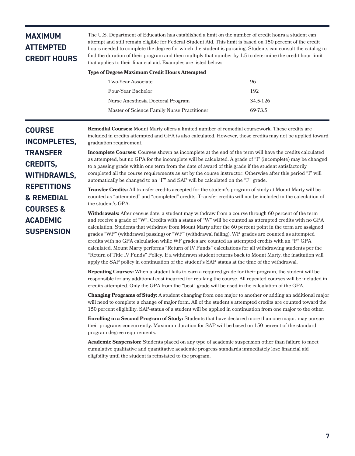### **MAXIMUM ATTEMPTED CREDIT HOURS**

The U.S. Department of Education has established a limit on the number of credit hours a student can attempt and still remain eligible for Federal Student Aid. This limit is based on 150 percent of the credit hours needed to complete the degree for which the student is pursuing. Students can consult the catalog to find the duration of their program and then multiply that number by 1.5 to determine the credit hour limit that applies to their financial aid. Examples are listed below:

### **Type of Degree Maximum Credit Hours Attempted**

| Two-Year Associate                          | 96       |
|---------------------------------------------|----------|
| Four-Year Bachelor                          | 192      |
| Nurse Anesthesia Doctoral Program           | 34.5-126 |
| Master of Science Family Nurse Practitioner | 69-73.5  |

**Remedial Courses:** Mount Marty offers a limited number of remedial coursework. These credits are included in credits attempted and GPA is also calculated. However, these credits may not be applied toward graduation requirement.

**Incomplete Courses:** Courses shown as incomplete at the end of the term will have the credits calculated as attempted, but no GPA for the incomplete will be calculated. A grade of "I" (incomplete) may be changed to a passing grade within one term from the date of award of this grade if the student satisfactorily completed all the course requirements as set by the course instructor. Otherwise after this period "I" will automatically be changed to an "F" and SAP will be calculated on the "F" grade.

**Transfer Credits:** All transfer credits accepted for the student's program of study at Mount Marty will be counted as "attempted" and "completed" credits. Transfer credits will not be included in the calculation of the student's GPA.

**Withdrawals:** After census date, a student may withdraw from a course through 60 percent of the term and receive a grade of "W". Credits with a status of "W" will be counted as attempted credits with no GPA calculation. Students that withdraw from Mount Marty after the 60 percent point in the term are assigned grades "WP" (withdrawal passing) or "WF" (withdrawal failing). WP grades are counted as attempted credits with no GPA calculation while WF grades are counted as attempted credits with an "F" GPA calculated. Mount Marty performs "Return of IV Funds" calculations for all withdrawing students per the "Return of Title IV Funds" Policy. If a withdrawn student returns back to Mount Marty, the institution will apply the SAP policy in continuation of the student's SAP status at the time of the withdrawal.

**Repeating Courses:** When a student fails to earn a required grade for their program, the student will be responsible for any additional cost incurred for retaking the course. All repeated courses will be included in credits attempted. Only the GPA from the "best" grade will be used in the calculation of the GPA.

**Changing Programs of Study:** A student changing from one major to another or adding an additional major will need to complete a change of major form. All of the student's attempted credits are counted toward the 150 percent eligibility. SAP-status of a student will be applied in continuation from one major to the other.

**Enrolling in a Second Program of Study:** Students that have declared more than one major, may pursue their programs concurrently. Maximum duration for SAP will be based on 150 percent of the standard program degree requirements.

**Academic Suspension:** Students placed on any type of academic suspension other than failure to meet cumulative qualitative and quantitative academic progress standards immediately lose financial aid eligibility until the student is reinstated to the program.

**COURSE INCOMPLETES, TRANSFER CREDITS, WITHDRAWLS, REPETITIONS & REMEDIAL COURSES & ACADEMIC SUSPENSION**